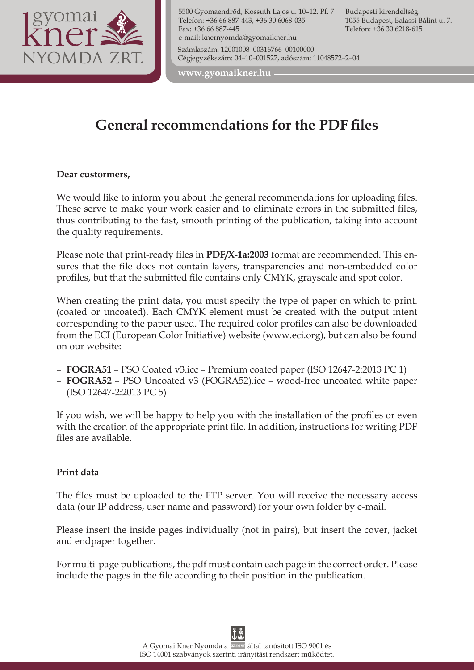

5500 Gyomaendrőd, Kossuth Lajos u. 10–12. Pf. 7 Telefon: +36 66 887-443, +36 30 6068-035 Fax: +36 66 887-445 e-mail: knernyomda@gyomaikner.hu Számlaszám: 12001008–00316766–00100000 Cégjegyzékszám: 04–10–001527, adószám: 11048572–2–04

Budapesti kirendeltség: 1055 Budapest, Balassi Bálint u. 7. Telefon: +36 30 6218-615

**www.gyomaikner.hu**

# **General recommendations for the PDF files**

#### **Dear custormers,**

We would like to inform you about the general recommendations for uploading files. These serve to make your work easier and to eliminate errors in the submitted files, thus contributing to the fast, smooth printing of the publication, taking into account the quality requirements.

Please note that print-ready files in **PDF/X-1a:2003** format are recommended. This ensures that the file does not contain layers, transparencies and non-embedded color profiles, but that the submitted file contains only CMYK, grayscale and spot color.

When creating the print data, you must specify the type of paper on which to print. (coated or uncoated). Each CMYK element must be created with the output intent corresponding to the paper used. The required color profiles can also be downloaded from the ECI (European Color Initiative) website (www.eci.org), but can also be found on our website:

- **FOGRA51** PSO Coated v3.icc Premium coated paper (ISO 12647-2:2013 PC 1)
- **FOGRA52** PSO Uncoated v3 (FOGRA52).icc wood-free uncoated white paper (ISO 12647-2:2013 PC 5)

If you wish, we will be happy to help you with the installation of the profiles or even with the creation of the appropriate print file. In addition, instructions for writing PDF files are available.

#### **Print data**

The files must be uploaded to the FTP server. You will receive the necessary access data (our IP address, user name and password) for your own folder by e-mail.

Please insert the inside pages individually (not in pairs), but insert the cover, jacket and endpaper together.

For multi-page publications, the pdf must contain each page in the correct order. Please include the pages in the file according to their position in the publication.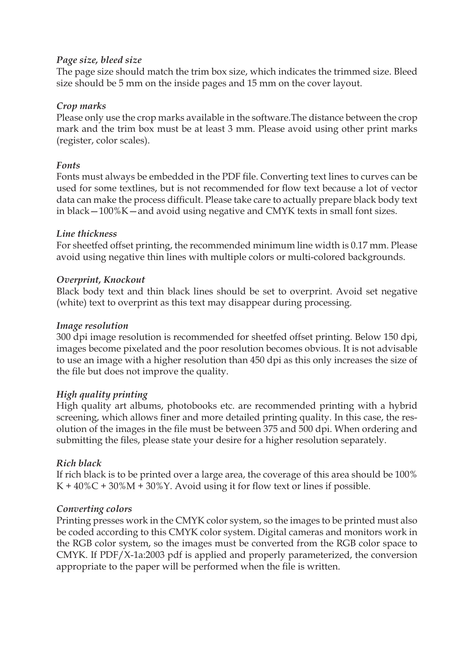## *Page size, bleed size*

The page size should match the trim box size, which indicates the trimmed size. Bleed size should be 5 mm on the inside pages and 15 mm on the cover layout.

## *Crop marks*

Please only use the crop marks available in the software.The distance between the crop mark and the trim box must be at least 3 mm. Please avoid using other print marks (register, color scales).

## *Fonts*

Fonts must always be embedded in the PDF file. Converting text lines to curves can be used for some textlines, but is not recommended for flow text because a lot of vector data can make the process difficult. Please take care to actually prepare black body text in black—100%K—and avoid using negative and CMYK texts in small font sizes.

## *Line thickness*

For sheetfed offset printing, the recommended minimum line width is 0.17 mm. Please avoid using negative thin lines with multiple colors or multi-colored backgrounds.

## *Overprint, Knockout*

Black body text and thin black lines should be set to overprint. Avoid set negative (white) text to overprint as this text may disappear during processing.

## *Image resolution*

300 dpi image resolution is recommended for sheetfed offset printing. Below 150 dpi, images become pixelated and the poor resolution becomes obvious. It is not advisable to use an image with a higher resolution than 450 dpi as this only increases the size of the file but does not improve the quality.

## *High quality printing*

High quality art albums, photobooks etc. are recommended printing with a hybrid screening, which allows finer and more detailed printing quality. In this case, the resolution of the images in the file must be between 375 and 500 dpi. When ordering and submitting the files, please state your desire for a higher resolution separately.

## *Rich black*

If rich black is to be printed over a large area, the coverage of this area should be 100%  $K + 40\%C + 30\%M + 30\%Y$ . Avoid using it for flow text or lines if possible.

## *Converting colors*

Printing presses work in the CMYK color system, so the images to be printed must also be coded according to this CMYK color system. Digital cameras and monitors work in the RGB color system, so the images must be converted from the RGB color space to CMYK. If PDF/X-1a:2003 pdf is applied and properly parameterized, the conversion appropriate to the paper will be performed when the file is written.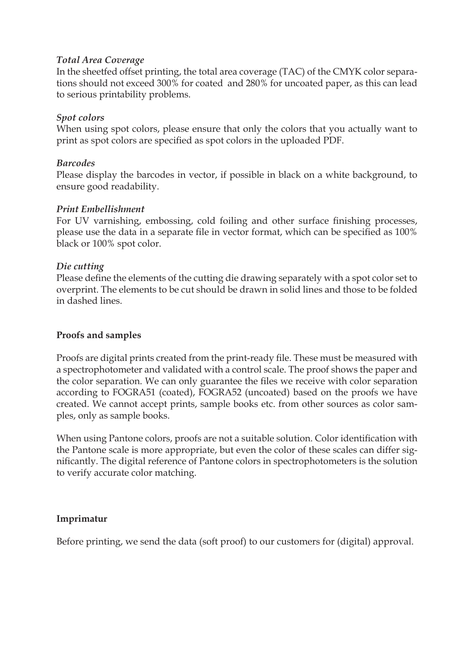#### *Total Area Coverage*

In the sheetfed offset printing, the total area coverage (TAC) of the CMYK color separations should not exceed 300% for coated and 280% for uncoated paper, as this can lead to serious printability problems.

## *Spot colors*

When using spot colors, please ensure that only the colors that you actually want to print as spot colors are specified as spot colors in the uploaded PDF.

## *Barcodes*

Please display the barcodes in vector, if possible in black on a white background, to ensure good readability.

## *Print Embellishment*

For UV varnishing, embossing, cold foiling and other surface finishing processes, please use the data in a separate file in vector format, which can be specified as 100% black or 100% spot color.

## *Die cutting*

Please define the elements of the cutting die drawing separately with a spot color set to overprint. The elements to be cut should be drawn in solid lines and those to be folded in dashed lines.

#### **Proofs and samples**

Proofs are digital prints created from the print-ready file. These must be measured with a spectrophotometer and validated with a control scale. The proof shows the paper and the color separation. We can only guarantee the files we receive with color separation according to FOGRA51 (coated), FOGRA52 (uncoated) based on the proofs we have created. We cannot accept prints, sample books etc. from other sources as color samples, only as sample books.

When using Pantone colors, proofs are not a suitable solution. Color identification with the Pantone scale is more appropriate, but even the color of these scales can differ significantly. The digital reference of Pantone colors in spectrophotometers is the solution to verify accurate color matching.

#### **Imprimatur**

Before printing, we send the data (soft proof) to our customers for (digital) approval.